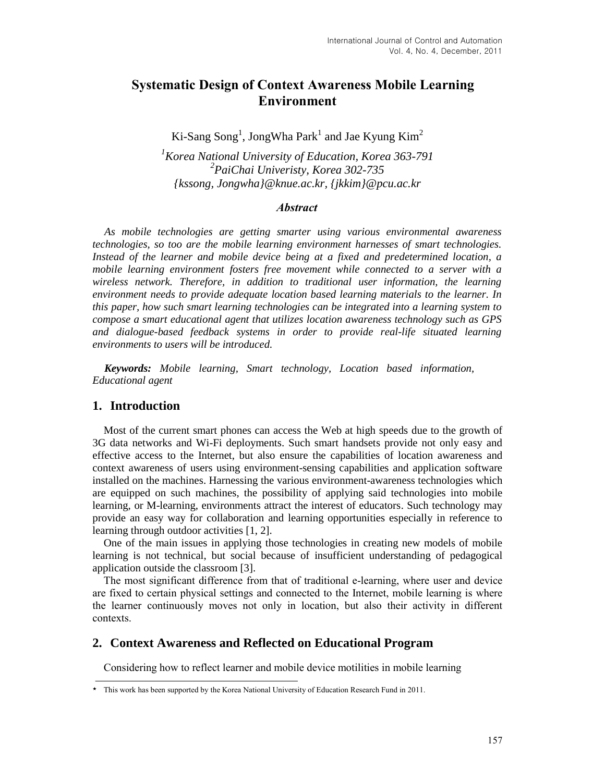# **Systematic Design of Context Awareness Mobile Learning Environment**

Ki-Sang Song $^1$ , JongWha Park $^1$  and Jae Kyung Kim $^2$ 

*<sup>1</sup>Korea National University of Education, Korea 363-791 2 PaiChai Univeristy, Korea 302-735 {kssong, [Jongwha}@knue.ac.kr,](mailto:Jongwha%7d@knue.ac.kr) {jkkim}@pcu.ac.kr*

#### *Abstract*

*As mobile technologies are getting smarter using various environmental awareness technologies, so too are the mobile learning environment harnesses of smart technologies. Instead of the learner and mobile device being at a fixed and predetermined location, a mobile learning environment fosters free movement while connected to a server with a wireless network. Therefore, in addition to traditional user information, the learning environment needs to provide adequate location based learning materials to the learner. In this paper, how such smart learning technologies can be integrated into a learning system to compose a smart educational agent that utilizes location awareness technology such as GPS and dialogue-based feedback systems in order to provide real-life situated learning environments to users will be introduced.*

*Keywords: Mobile learning, Smart technology, Location based information, Educational agent*

## **1. Introduction**

Most of the current smart phones can access the Web at high speeds due to the growth of [3G data networks](http://smartphones.about.com/od/surfingtheweb/p/3G_explainer.htm) and Wi-Fi deployments. Such smart handsets provide not only easy and effective access to the Internet, but also ensure the capabilities of location awareness and context awareness of users using environment-sensing capabilities and application software installed on the machines. Harnessing the various environment-awareness technologies which are equipped on such machines, the possibility of applying said technologies into mobile learning, or M-learning, environments attract the interest of educators. Such technology may provide an easy way for collaboration and learning opportunities especially in reference to learning through outdoor activities [1, 2].

One of the main issues in applying those technologies in creating new models of mobile learning is not technical, but social because of insufficient understanding of pedagogical application outside the classroom [3].

The most significant difference from that of traditional e-learning, where user and device are fixed to certain physical settings and connected to the Internet, mobile learning is where the learner continuously moves not only in location, but also their activity in different contexts.

# **2. Context Awareness and Reflected on Educational Program**

Considering how to reflect learner and mobile device motilities in mobile learning

<sup>\*</sup> This work has been supported by the Korea National University of Education Research Fund in 2011.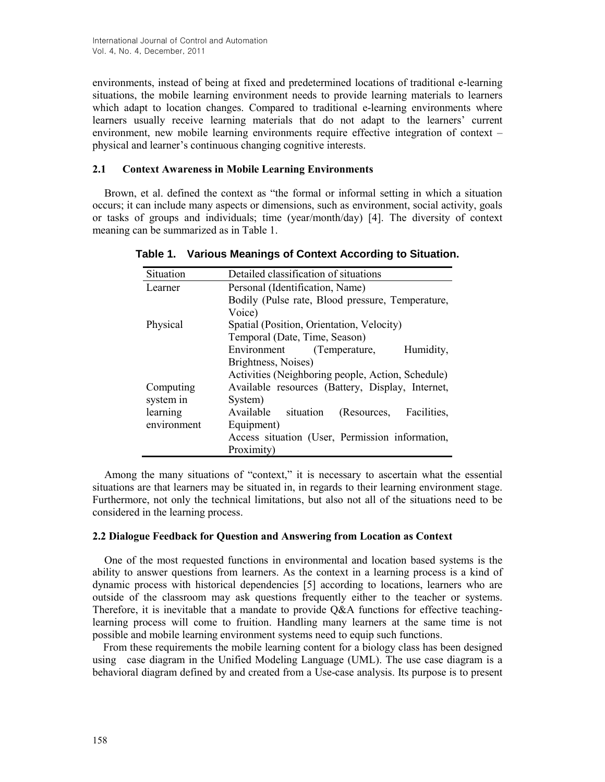environments, instead of being at fixed and predetermined locations of traditional e-learning situations, the mobile learning environment needs to provide learning materials to learners which adapt to location changes. Compared to traditional e-learning environments where learners usually receive learning materials that do not adapt to the learners" current environment, new mobile learning environments require effective integration of context – physical and learner"s continuous changing cognitive interests.

## **2.1 Context Awareness in Mobile Learning Environments**

Brown, et al. defined the context as "the formal or informal setting in which a situation occurs; it can include many aspects or dimensions, such as environment, social activity, goals or tasks of groups and individuals; time (year/month/day) [4]. The diversity of context meaning can be summarized as in Table 1.

| Situation   | Detailed classification of situations             |  |  |  |
|-------------|---------------------------------------------------|--|--|--|
| Learner     | Personal (Identification, Name)                   |  |  |  |
|             | Bodily (Pulse rate, Blood pressure, Temperature,  |  |  |  |
|             | Voice)                                            |  |  |  |
| Physical    | Spatial (Position, Orientation, Velocity)         |  |  |  |
|             | Temporal (Date, Time, Season)                     |  |  |  |
|             | Humidity,<br>Environment<br>(Temperature,         |  |  |  |
|             | Brightness, Noises)                               |  |  |  |
|             | Activities (Neighboring people, Action, Schedule) |  |  |  |
| Computing   | Available resources (Battery, Display, Internet,  |  |  |  |
| system in   | System)                                           |  |  |  |
| learning    | Available<br>situation<br>(Resources, Facilities, |  |  |  |
| environment | Equipment)                                        |  |  |  |
|             | Access situation (User, Permission information,   |  |  |  |
|             | Proximity)                                        |  |  |  |

| Table 1. Various Meanings of Context According to Situation. |  |  |
|--------------------------------------------------------------|--|--|
|                                                              |  |  |

Among the many situations of "context," it is necessary to ascertain what the essential situations are that learners may be situated in, in regards to their learning environment stage. Furthermore, not only the technical limitations, but also not all of the situations need to be considered in the learning process.

#### **2.2 Dialogue Feedback for Question and Answering from Location as Context**

One of the most requested functions in environmental and location based systems is the ability to answer questions from learners. As the context in a learning process is a kind of dynamic process with historical dependencies [5] according to locations, learners who are outside of the classroom may ask questions frequently either to the teacher or systems. Therefore, it is inevitable that a mandate to provide Q&A functions for effective teachinglearning process will come to fruition. Handling many learners at the same time is not possible and mobile learning environment systems need to equip such functions.

From these requirements the mobile learning content for a biology class has been designed using case diagram in the [Unified Modeling Language](http://en.wikipedia.org/wiki/Unified_Modeling_Language) (UML). The use case diagram is a behavioral diagram defined by and created from a [Use-case analysis.](http://en.wikipedia.org/wiki/Use-case_analysis) Its purpose is to present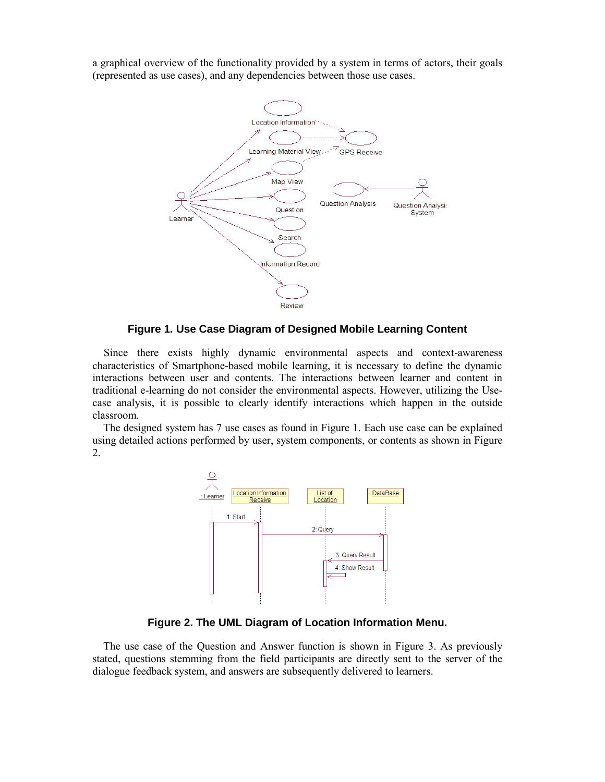a graphical overview of the functionality provided by a system in terms of [actors,](http://en.wikipedia.org/wiki/Actor_(UML)) their goals (represented as [use cases\)](http://en.wikipedia.org/wiki/Use_case), and any dependencies between those use cases.



**Figure 1. Use Case Diagram of Designed Mobile Learning Content**

Since there exists highly dynamic environmental aspects and context-awareness characteristics of Smartphone-based mobile learning, it is necessary to define the dynamic interactions between user and contents. The interactions between learner and content in traditional e-learning do not consider the environmental aspects. However, utilizing the Usecase analysis, it is possible to clearly identify interactions which happen in the outside classroom.

The designed system has 7 use cases as found in Figure 1. Each use case can be explained using detailed actions performed by user, system components, or contents as shown in Figure 2.



**Figure 2. The UML Diagram of Location Information Menu.**

The use case of the Question and Answer function is shown in Figure 3. As previously stated, questions stemming from the field participants are directly sent to the server of the dialogue feedback system, and answers are subsequently delivered to learners.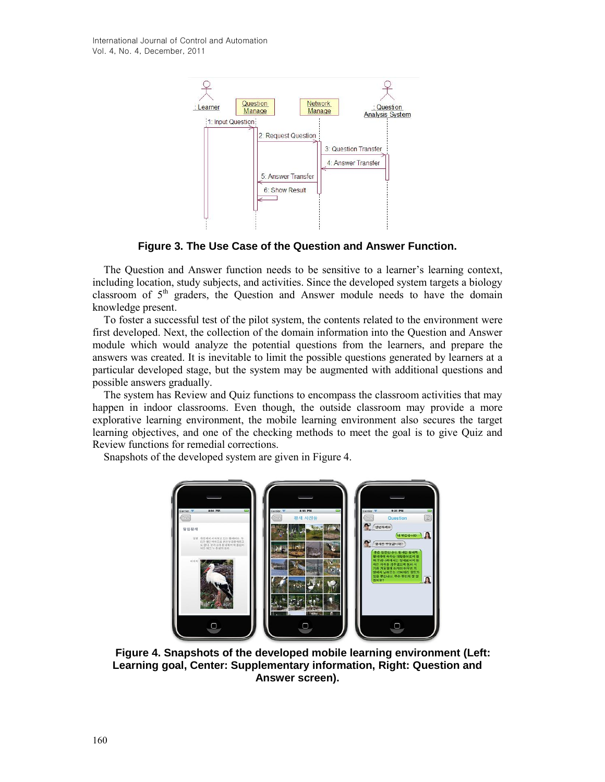

**Figure 3. The Use Case of the Question and Answer Function.**

The Question and Answer function needs to be sensitive to a learner"s learning context, including location, study subjects, and activities. Since the developed system targets a biology classroom of  $5<sup>th</sup>$  graders, the Question and Answer module needs to have the domain knowledge present.

To foster a successful test of the pilot system, the contents related to the environment were first developed. Next, the collection of the domain information into the Question and Answer module which would analyze the potential questions from the learners, and prepare the answers was created. It is inevitable to limit the possible questions generated by learners at a particular developed stage, but the system may be augmented with additional questions and possible answers gradually.

The system has Review and Quiz functions to encompass the classroom activities that may happen in indoor classrooms. Even though, the outside classroom may provide a more explorative learning environment, the mobile learning environment also secures the target learning objectives, and one of the checking methods to meet the goal is to give Quiz and Review functions for remedial corrections.

Snapshots of the developed system are given in Figure 4.



**Figure 4. Snapshots of the developed mobile learning environment (Left: Learning goal, Center: Supplementary information, Right: Question and Answer screen).**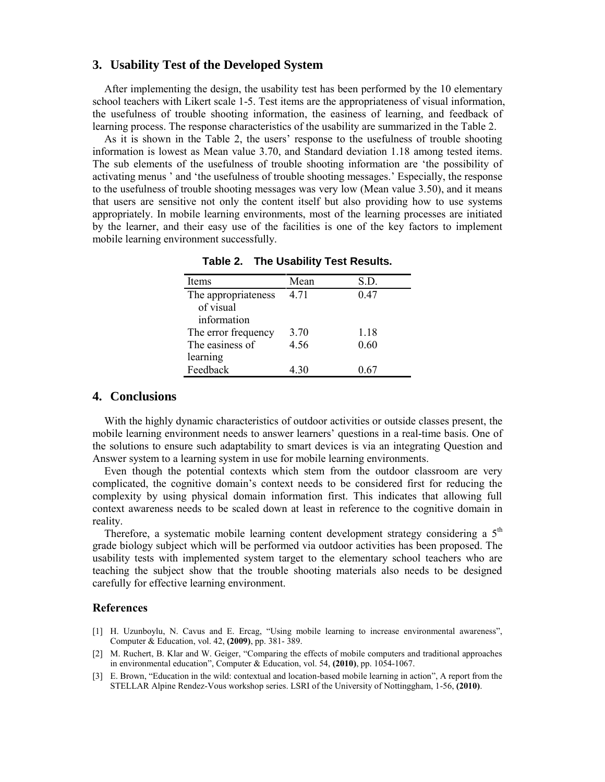# **3. Usability Test of the Developed System**

After implementing the design, the usability test has been performed by the 10 elementary school teachers with Likert scale 1-5. Test items are the appropriateness of visual information, the usefulness of trouble shooting information, the easiness of learning, and feedback of learning process. The response characteristics of the usability are summarized in the Table 2.

As it is shown in the Table 2, the users" response to the usefulness of trouble shooting information is lowest as Mean value 3.70, and Standard deviation 1.18 among tested items. The sub elements of the usefulness of trouble shooting information are "the possibility of activating menus ' and 'the usefulness of trouble shooting messages.' Especially, the response to the usefulness of trouble shooting messages was very low (Mean value 3.50), and it means that users are sensitive not only the content itself but also providing how to use systems appropriately. In mobile learning environments, most of the learning processes are initiated by the learner, and their easy use of the facilities is one of the key factors to implement mobile learning environment successfully.

| Items                                           | Mean | S.D. |
|-------------------------------------------------|------|------|
| The appropriateness<br>of visual<br>information | 4.71 | 0.47 |
| The error frequency                             | 3.70 | 1.18 |
| The easiness of<br>learning                     | 4.56 | 0.60 |
| Feedback                                        | 4.30 | 0.67 |

**Table 2. The Usability Test Results.**

# **4. Conclusions**

With the highly dynamic characteristics of outdoor activities or outside classes present, the mobile learning environment needs to answer learners" questions in a real-time basis. One of the solutions to ensure such adaptability to smart devices is via an integrating Question and Answer system to a learning system in use for mobile learning environments.

Even though the potential contexts which stem from the outdoor classroom are very complicated, the cognitive domain"s context needs to be considered first for reducing the complexity by using physical domain information first. This indicates that allowing full context awareness needs to be scaled down at least in reference to the cognitive domain in reality.

Therefore, a systematic mobile learning content development strategy considering a  $5<sup>th</sup>$ grade biology subject which will be performed via outdoor activities has been proposed. The usability tests with implemented system target to the elementary school teachers who are teaching the subject show that the trouble shooting materials also needs to be designed carefully for effective learning environment.

#### **References**

- [1] H. Uzunboylu, N. Cavus and E. Ercag, "Using mobile learning to increase environmental awareness", Computer & Education, vol. 42, **(2009)**, pp. 381- 389.
- [2] M. Ruchert, B. Klar and W. Geiger, "Comparing the effects of mobile computers and traditional approaches in environmental education", Computer & Education, vol. 54, **(2010)**, pp. 1054-1067.
- [3] E. Brown, "Education in the wild: contextual and location-based mobile learning in action", A report from the STELLAR Alpine Rendez-Vous workshop series. LSRI of the University of Nottinggham, 1-56, **(2010)**.